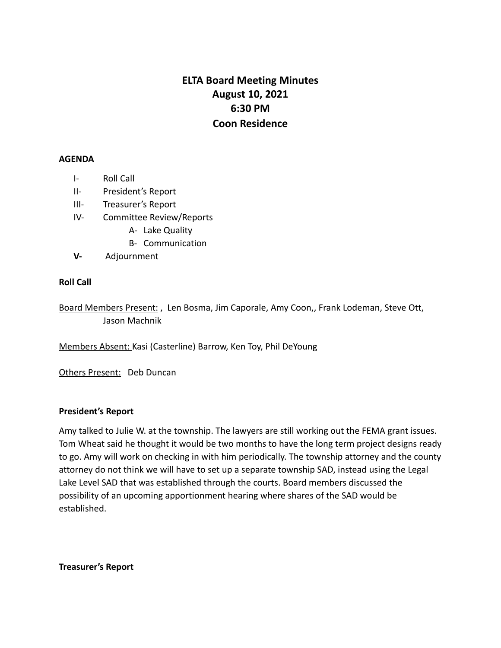# **ELTA Board Meeting Minutes August 10, 2021 6:30 PM Coon Residence**

#### **AGENDA**

- I- Roll Call
- II- President's Report
- III- Treasurer's Report
- IV- Committee Review/Reports
	- A- Lake Quality
	- B- Communication
- **V-** Adjournment

### **Roll Call**

Board Members Present: , Len Bosma, Jim Caporale, Amy Coon,, Frank Lodeman, Steve Ott, Jason Machnik

Members Absent: Kasi (Casterline) Barrow, Ken Toy, Phil DeYoung

Others Present: Deb Duncan

### **President's Report**

Amy talked to Julie W. at the township. The lawyers are still working out the FEMA grant issues. Tom Wheat said he thought it would be two months to have the long term project designs ready to go. Amy will work on checking in with him periodically. The township attorney and the county attorney do not think we will have to set up a separate township SAD, instead using the Legal Lake Level SAD that was established through the courts. Board members discussed the possibility of an upcoming apportionment hearing where shares of the SAD would be established.

**Treasurer's Report**